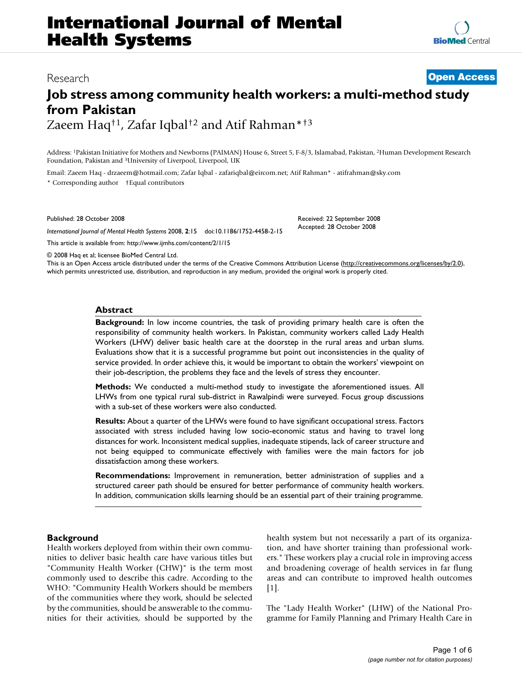# **International Journal of Mental Health Systems**

## Research **[Open Access](http://www.biomedcentral.com/info/about/charter/)**

## **Job stress among community health workers: a multi-method study from Pakistan** Zaeem Haq†1, Zafar Iqbal†2 and Atif Rahman\*†3

Address: 1Pakistan Initiative for Mothers and Newborns (PAIMAN) House 6, Street 5, F-8/3, Islamabad, Pakistan, 2Human Development Research Foundation, Pakistan and 3University of Liverpool, Liverpool, UK

Email: Zaeem Haq - drzaeem@hotmail.com; Zafar Iqbal - zafariqbal@eircom.net; Atif Rahman\* - atifrahman@sky.com \* Corresponding author †Equal contributors

Published: 28 October 2008

*International Journal of Mental Health Systems* 2008, **2**:15 doi:10.1186/1752-4458-2-15

[This article is available from: http://www.ijmhs.com/content/2/1/15](http://www.ijmhs.com/content/2/1/15)

Accepted: 28 October 2008

Received: 22 September 2008

© 2008 Haq et al; licensee BioMed Central Ltd.

This is an Open Access article distributed under the terms of the Creative Commons Attribution License [\(http://creativecommons.org/licenses/by/2.0\)](http://creativecommons.org/licenses/by/2.0), which permits unrestricted use, distribution, and reproduction in any medium, provided the original work is properly cited.

#### **Abstract**

**Background:** In low income countries, the task of providing primary health care is often the responsibility of community health workers. In Pakistan, community workers called Lady Health Workers (LHW) deliver basic health care at the doorstep in the rural areas and urban slums. Evaluations show that it is a successful programme but point out inconsistencies in the quality of service provided. In order achieve this, it would be important to obtain the workers' viewpoint on their job-description, the problems they face and the levels of stress they encounter.

**Methods:** We conducted a multi-method study to investigate the aforementioned issues. All LHWs from one typical rural sub-district in Rawalpindi were surveyed. Focus group discussions with a sub-set of these workers were also conducted.

**Results:** About a quarter of the LHWs were found to have significant occupational stress. Factors associated with stress included having low socio-economic status and having to travel long distances for work. Inconsistent medical supplies, inadequate stipends, lack of career structure and not being equipped to communicate effectively with families were the main factors for job dissatisfaction among these workers.

**Recommendations:** Improvement in remuneration, better administration of supplies and a structured career path should be ensured for better performance of community health workers. In addition, communication skills learning should be an essential part of their training programme.

#### **Background**

Health workers deployed from within their own communities to deliver basic health care have various titles but "Community Health Worker (CHW)" is the term most commonly used to describe this cadre. According to the WHO: "Community Health Workers should be members of the communities where they work, should be selected by the communities, should be answerable to the communities for their activities, should be supported by the health system but not necessarily a part of its organization, and have shorter training than professional workers." These workers play a crucial role in improving access and broadening coverage of health services in far flung areas and can contribute to improved health outcomes [1].

The "Lady Health Worker" (LHW) of the National Programme for Family Planning and Primary Health Care in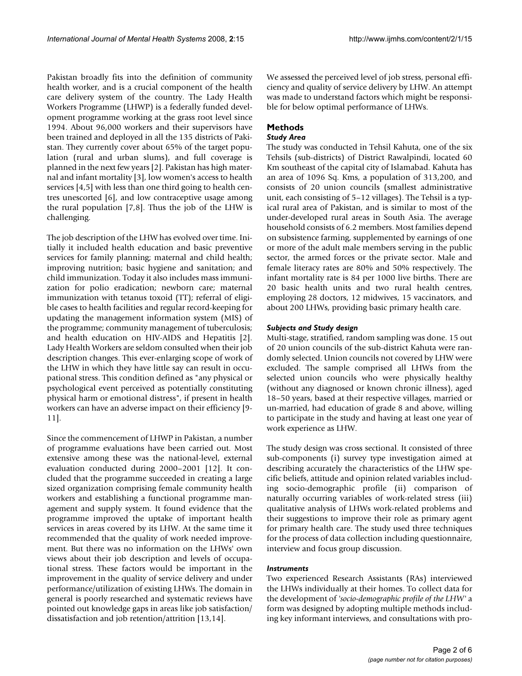Pakistan broadly fits into the definition of community health worker, and is a crucial component of the health care delivery system of the country. The Lady Health Workers Programme (LHWP) is a federally funded development programme working at the grass root level since 1994. About 96,000 workers and their supervisors have been trained and deployed in all the 135 districts of Pakistan. They currently cover about 65% of the target population (rural and urban slums), and full coverage is planned in the next few years [2]. Pakistan has high maternal and infant mortality [3], low women's access to health services [4,5] with less than one third going to health centres unescorted [6], and low contraceptive usage among the rural population [7,8]. Thus the job of the LHW is challenging.

The job description of the LHW has evolved over time. Initially it included health education and basic preventive services for family planning; maternal and child health; improving nutrition; basic hygiene and sanitation; and child immunization. Today it also includes mass immunization for polio eradication; newborn care; maternal immunization with tetanus toxoid (TT); referral of eligible cases to health facilities and regular record-keeping for updating the management information system (MIS) of the programme; community management of tuberculosis; and health education on HIV-AIDS and Hepatitis [2]. Lady Health Workers are seldom consulted when their job description changes. This ever-enlarging scope of work of the LHW in which they have little say can result in occupational stress. This condition defined as "any physical or psychological event perceived as potentially constituting physical harm or emotional distress", if present in health workers can have an adverse impact on their efficiency [9- 11].

Since the commencement of LHWP in Pakistan, a number of programme evaluations have been carried out. Most extensive among these was the national-level, external evaluation conducted during 2000–2001 [12]. It concluded that the programme succeeded in creating a large sized organization comprising female community health workers and establishing a functional programme management and supply system. It found evidence that the programme improved the uptake of important health services in areas covered by its LHW. At the same time it recommended that the quality of work needed improvement. But there was no information on the LHWs' own views about their job description and levels of occupational stress. These factors would be important in the improvement in the quality of service delivery and under performance/utilization of existing LHWs. The domain in general is poorly researched and systematic reviews have pointed out knowledge gaps in areas like job satisfaction/ dissatisfaction and job retention/attrition [13,14].

We assessed the perceived level of job stress, personal efficiency and quality of service delivery by LHW. An attempt was made to understand factors which might be responsible for below optimal performance of LHWs.

## **Methods**

#### *Study Area*

The study was conducted in Tehsil Kahuta, one of the six Tehsils (sub-districts) of District Rawalpindi, located 60 Km southeast of the capital city of Islamabad. Kahuta has an area of 1096 Sq. Kms, a population of 313,200, and consists of 20 union councils (smallest administrative unit, each consisting of 5–12 villages). The Tehsil is a typical rural area of Pakistan, and is similar to most of the under-developed rural areas in South Asia. The average household consists of 6.2 members. Most families depend on subsistence farming, supplemented by earnings of one or more of the adult male members serving in the public sector, the armed forces or the private sector. Male and female literacy rates are 80% and 50% respectively. The infant mortality rate is 84 per 1000 live births. There are 20 basic health units and two rural health centres, employing 28 doctors, 12 midwives, 15 vaccinators, and about 200 LHWs, providing basic primary health care.

#### *Subjects and Study design*

Multi-stage, stratified, random sampling was done. 15 out of 20 union councils of the sub-district Kahuta were randomly selected. Union councils not covered by LHW were excluded. The sample comprised all LHWs from the selected union councils who were physically healthy (without any diagnosed or known chronic illness), aged 18–50 years, based at their respective villages, married or un-married, had education of grade 8 and above, willing to participate in the study and having at least one year of work experience as LHW.

The study design was cross sectional. It consisted of three sub-components (i) survey type investigation aimed at describing accurately the characteristics of the LHW specific beliefs, attitude and opinion related variables including socio-demographic profile (ii) comparison of naturally occurring variables of work-related stress (iii) qualitative analysis of LHWs work-related problems and their suggestions to improve their role as primary agent for primary health care. The study used three techniques for the process of data collection including questionnaire, interview and focus group discussion.

#### *Instruments*

Two experienced Research Assistants (RAs) interviewed the LHWs individually at their homes. To collect data for the development of *'socio-demographic profile of the LHW'* a form was designed by adopting multiple methods including key informant interviews, and consultations with pro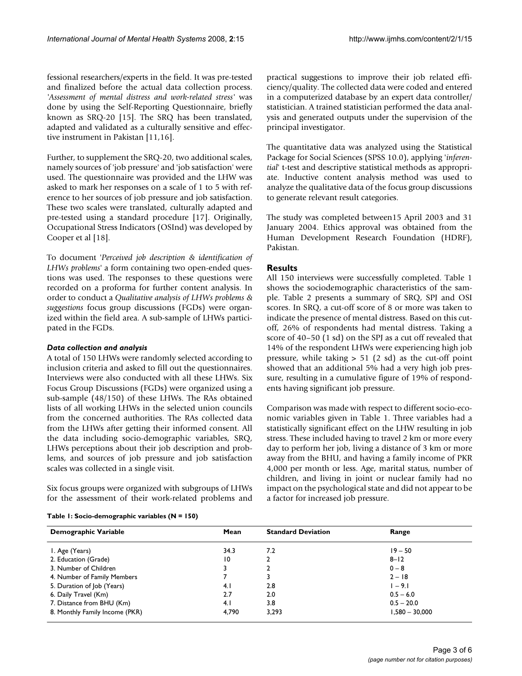fessional researchers/experts in the field. It was pre-tested and finalized before the actual data collection process. *'Assessment of mental distress and work-related stress'* was done by using the Self-Reporting Questionnaire, briefly known as SRQ-20 [15]. The SRQ has been translated, adapted and validated as a culturally sensitive and effective instrument in Pakistan [11,16].

Further, to supplement the SRQ-20, two additional scales, namely sources of 'job pressure' and 'job satisfaction' were used. The questionnaire was provided and the LHW was asked to mark her responses on a scale of 1 to 5 with reference to her sources of job pressure and job satisfaction. These two scales were translated, culturally adapted and pre-tested using a standard procedure [17]. Originally, Occupational Stress Indicators (OSInd) was developed by Cooper et al [18].

To document '*Perceived job description & identification of LHWs problems*' a form containing two open-ended questions was used. The responses to these questions were recorded on a proforma for further content analysis. In order to conduct a *Qualitative analysis of LHWs problems & suggestions* focus group discussions (FGDs) were organized within the field area. A sub-sample of LHWs participated in the FGDs.

#### *Data collection and analysis*

A total of 150 LHWs were randomly selected according to inclusion criteria and asked to fill out the questionnaires. Interviews were also conducted with all these LHWs. Six Focus Group Discussions (FGDs) were organized using a sub-sample (48/150) of these LHWs. The RAs obtained lists of all working LHWs in the selected union councils from the concerned authorities. The RAs collected data from the LHWs after getting their informed consent. All the data including socio-demographic variables, SRQ, LHWs perceptions about their job description and problems, and sources of job pressure and job satisfaction scales was collected in a single visit.

Six focus groups were organized with subgroups of LHWs for the assessment of their work-related problems and practical suggestions to improve their job related efficiency/quality. The collected data were coded and entered in a computerized database by an expert data controller/ statistician. A trained statistician performed the data analysis and generated outputs under the supervision of the principal investigator.

The quantitative data was analyzed using the Statistical Package for Social Sciences (SPSS 10.0), applying '*inferential*' t-test and descriptive statistical methods as appropriate. Inductive content analysis method was used to analyze the qualitative data of the focus group discussions to generate relevant result categories.

The study was completed between15 April 2003 and 31 January 2004. Ethics approval was obtained from the Human Development Research Foundation (HDRF), Pakistan.

#### **Results**

All 150 interviews were successfully completed. Table 1 shows the sociodemographic characteristics of the sample. Table 2 presents a summary of SRQ, SPJ and OSI scores. In SRQ, a cut-off score of 8 or more was taken to indicate the presence of mental distress. Based on this cutoff, 26% of respondents had mental distress. Taking a score of 40–50 (1 sd) on the SPJ as a cut off revealed that 14% of the respondent LHWs were experiencing high job pressure, while taking  $> 51$  (2 sd) as the cut-off point showed that an additional 5% had a very high job pressure, resulting in a cumulative figure of 19% of respondents having significant job pressure.

Comparison was made with respect to different socio-economic variables given in Table 1. Three variables had a statistically significant effect on the LHW resulting in job stress. These included having to travel 2 km or more every day to perform her job, living a distance of 3 km or more away from the BHU, and having a family income of PKR 4,000 per month or less. Age, marital status, number of children, and living in joint or nuclear family had no impact on the psychological state and did not appear to be a factor for increased job pressure.

|  |  | Table I: Socio-demographic variables (N = 150) |  |  |
|--|--|------------------------------------------------|--|--|
|--|--|------------------------------------------------|--|--|

| Demographic Variable           | Mean  | <b>Standard Deviation</b> | Range            |  |
|--------------------------------|-------|---------------------------|------------------|--|
| I. Age (Years)                 | 34.3  | 7.2                       | $19 - 50$        |  |
| 2. Education (Grade)           | 10    |                           | $8 - 12$         |  |
| 3. Number of Children          |       |                           | $0 - 8$          |  |
| 4. Number of Family Members    |       |                           | $2 - 18$         |  |
| 5. Duration of Job (Years)     | 4.1   | 2.8                       | $1 - 9.1$        |  |
| 6. Daily Travel (Km)           | 2.7   | 2.0                       | $0.5 - 6.0$      |  |
| 7. Distance from BHU (Km)      | 4.1   | 3.8                       | $0.5 - 20.0$     |  |
| 8. Monthly Family Income (PKR) | 4.790 | 3,293                     | $1,580 - 30,000$ |  |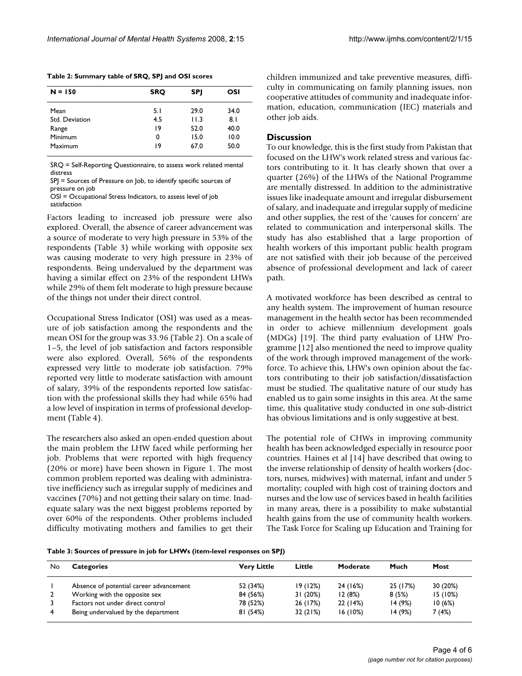|  | Table 2: Summary table of SRQ, SPJ and OSI scores |  |
|--|---------------------------------------------------|--|
|--|---------------------------------------------------|--|

| $N = 150$      | <b>SRQ</b> | <b>SPJ</b> | OSI  |
|----------------|------------|------------|------|
| Mean           | 5. I       | 29.0       | 34.0 |
| Std. Deviation | 4.5        | 11.3       | 8.1  |
| Range          | 19         | 52.0       | 40.0 |
| Minimum        | 0          | 15.0       | 10.0 |
| Maximum        | 19         | 67.0       | 50.0 |

SRQ = Self-Reporting Questionnaire, to assess work related mental distress

SPJ = Sources of Pressure on Job, to identify specific sources of pressure on job

OSI = Occupational Stress Indicators, to assess level of job satisfaction

Factors leading to increased job pressure were also explored. Overall, the absence of career advancement was a source of moderate to very high pressure in 53% of the respondents (Table 3) while working with opposite sex was causing moderate to very high pressure in 23% of respondents. Being undervalued by the department was having a similar effect on 23% of the respondent LHWs while 29% of them felt moderate to high pressure because of the things not under their direct control.

Occupational Stress Indicator (OSI) was used as a measure of job satisfaction among the respondents and the mean OSI for the group was 33.96 (Table 2). On a scale of 1–5, the level of job satisfaction and factors responsible were also explored. Overall, 56% of the respondents expressed very little to moderate job satisfaction. 79% reported very little to moderate satisfaction with amount of salary, 39% of the respondents reported low satisfaction with the professional skills they had while 65% had a low level of inspiration in terms of professional development (Table 4).

The researchers also asked an open-ended question about the main problem the LHW faced while performing her job. Problems that were reported with high frequency (20% or more) have been shown in Figure 1. The most common problem reported was dealing with administrative inefficiency such as irregular supply of medicines and vaccines (70%) and not getting their salary on time. Inadequate salary was the next biggest problems reported by over 60% of the respondents. Other problems included difficulty motivating mothers and families to get their children immunized and take preventive measures, difficulty in communicating on family planning issues, non cooperative attitudes of community and inadequate information, education, communication (IEC) materials and other job aids.

#### **Discussion**

To our knowledge, this is the first study from Pakistan that focused on the LHW's work related stress and various factors contributing to it. It has clearly shown that over a quarter (26%) of the LHWs of the National Programme are mentally distressed. In addition to the administrative issues like inadequate amount and irregular disbursement of salary, and inadequate and irregular supply of medicine and other supplies, the rest of the 'causes for concern' are related to communication and interpersonal skills. The study has also established that a large proportion of health workers of this important public health program are not satisfied with their job because of the perceived absence of professional development and lack of career path.

A motivated workforce has been described as central to any health system. The improvement of human resource management in the health sector has been recommended in order to achieve millennium development goals (MDGs) [19]. The third party evaluation of LHW Programme [12] also mentioned the need to improve quality of the work through improved management of the workforce. To achieve this, LHW's own opinion about the factors contributing to their job satisfaction/dissatisfaction must be studied. The qualitative nature of our study has enabled us to gain some insights in this area. At the same time, this qualitative study conducted in one sub-district has obvious limitations and is only suggestive at best.

The potential role of CHWs in improving community health has been acknowledged especially in resource poor countries. Haines et al [14] have described that owing to the inverse relationship of density of health workers (doctors, nurses, midwives) with maternal, infant and under 5 mortality; coupled with high cost of training doctors and nurses and the low use of services based in health facilities in many areas, there is a possibility to make substantial health gains from the use of community health workers. The Task Force for Scaling up Education and Training for

| No             | Categories                              | <b>Very Little</b> | Little   | Moderate | Much     | Most     |
|----------------|-----------------------------------------|--------------------|----------|----------|----------|----------|
|                | Absence of potential career advancement | 52 (34%)           | 19(12%)  | 24 (16%) | 25 (17%) | 30 (20%) |
|                | Working with the opposite sex           | 84 (56%)           | 31 (20%) | 12(8%)   | 8(5%)    | 15 (10%) |
|                | Factors not under direct control        | 78 (52%)           | 26 (17%) | 22 (14%) | 14 (9%)  | 10(6%)   |
| $\overline{4}$ | Being undervalued by the department     | 81 (54%)           | 32 (21%) | 16(10%)  | 14 (9%)  | 7 (4%)   |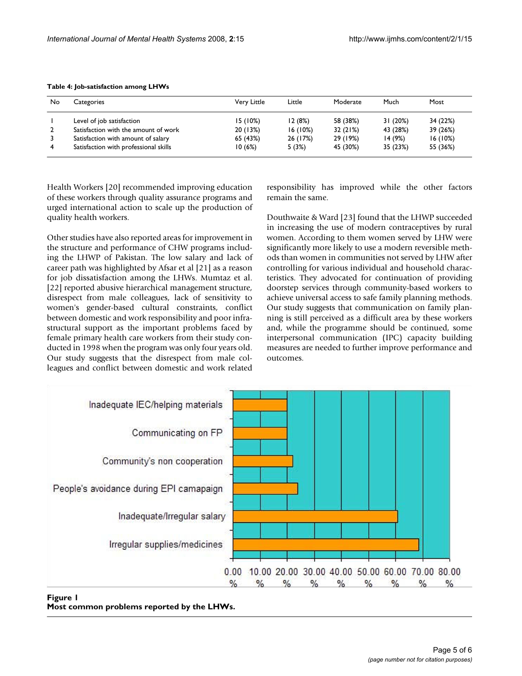| No             | Categories                            | Very Little | Little   | Moderate | Much     | Most     |
|----------------|---------------------------------------|-------------|----------|----------|----------|----------|
|                | Level of job satisfaction             | 15 (10%)    | I2 (8%)  | 58 (38%) | 31 (20%) | 34 (22%) |
| $\overline{2}$ | Satisfaction with the amount of work  | 20 (13%)    | 16(10%)  | 32 (21%) | 43 (28%) | 39 (26%) |
|                | Satisfaction with amount of salary    | 65 (43%)    | 26 (17%) | 29 (19%) | 14 (9%)  | 16(10%)  |
| 4              | Satisfaction with professional skills | 10(6%)      | 5 (3%)   | 45 (30%) | 35 (23%) | 55 (36%) |

#### **Table 4: Job-satisfaction among LHWs**

Health Workers [20] recommended improving education of these workers through quality assurance programs and urged international action to scale up the production of quality health workers.

Other studies have also reported areas for improvement in the structure and performance of CHW programs including the LHWP of Pakistan. The low salary and lack of career path was highlighted by Afsar et al [21] as a reason for job dissatisfaction among the LHWs. Mumtaz et al. [22] reported abusive hierarchical management structure, disrespect from male colleagues, lack of sensitivity to women's gender-based cultural constraints, conflict between domestic and work responsibility and poor infrastructural support as the important problems faced by female primary health care workers from their study conducted in 1998 when the program was only four years old. Our study suggests that the disrespect from male colleagues and conflict between domestic and work related responsibility has improved while the other factors remain the same.

Douthwaite & Ward [23] found that the LHWP succeeded in increasing the use of modern contraceptives by rural women. According to them women served by LHW were significantly more likely to use a modern reversible methods than women in communities not served by LHW after controlling for various individual and household characteristics. They advocated for continuation of providing doorstep services through community-based workers to achieve universal access to safe family planning methods. Our study suggests that communication on family planning is still perceived as a difficult area by these workers and, while the programme should be continued, some interpersonal communication (IPC) capacity building measures are needed to further improve performance and outcomes.



**Figure 1** 

**Most common problems reported by the LHWs.**